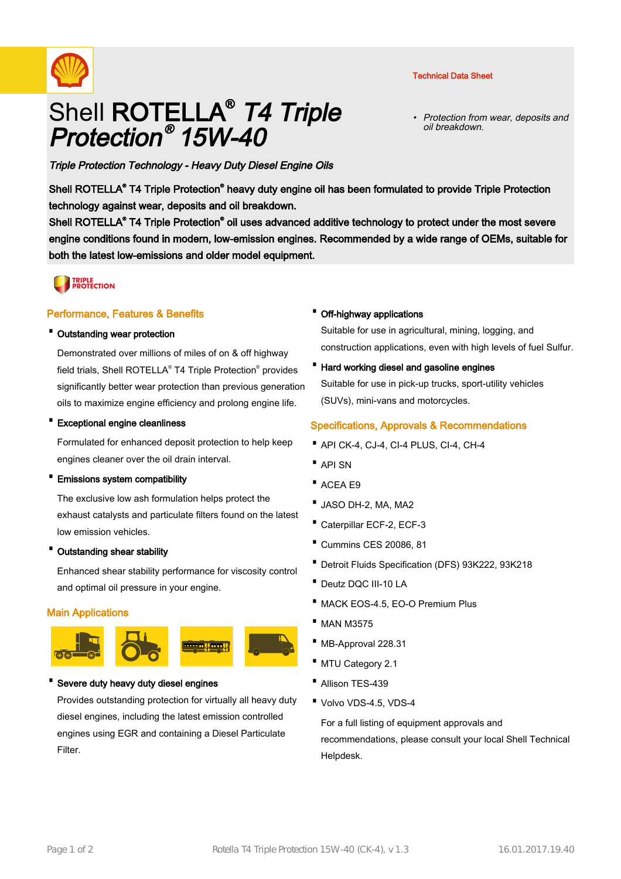



# Shell ROTELLA<sup>®</sup> *T4 Triple* Protection ® 15W-40

Protection from wear, deposits and oil breakdown. •

Triple Protection Technology - Heavy Duty Diesel Engine Oils

Shell ROTELLA<sup>®</sup> T4 Triple Protection<sup>®</sup> heavy duty engine oil has been formulated to provide Triple Protection technology against wear, deposits and oil breakdown.

Shell ROTELLA<sup>®</sup> T4 Triple Protection<sup>®</sup> oil uses advanced additive technology to protect under the most severe engine conditions found in modern, low-emission engines. Recommended by a wide range of OEMs, suitable for both the latest low-emissions and older model equipment.

# **TRIPLE<br>PROTECTION**

### Performance, Features & Benefits

#### · Outstanding wear protection

Demonstrated over millions of miles of on & off highway field trials, Shell ROTELLA® T4 Triple Protection® provides significantly better wear protection than previous generation oils to maximize engine efficiency and prolong engine life.

#### · Exceptional engine cleanliness

Formulated for enhanced deposit protection to help keep engines cleaner over the oil drain interval.

#### · Emissions system compatibility

The exclusive low ash formulation helps protect the exhaust catalysts and particulate filters found on the latest low emission vehicles.

#### · Outstanding shear stability

Enhanced shear stability performance for viscosity control and optimal oil pressure in your engine.

# Main Applications



#### Severe duty heavy duty diesel engines

Provides outstanding protection for virtually all heavy duty diesel engines, including the latest emission controlled engines using EGR and containing a Diesel Particulate Filter.

#### · Off-highway applications

Suitable for use in agricultural, mining, logging, and construction applications, even with high levels of fuel Sulfur.

· Hard working diesel and gasoline engines Suitable for use in pick-up trucks, sport-utility vehicles (SUVs), mini-vans and motorcycles.

#### Specifications, Approvals & Recommendations

- · API CK-4, CJ-4, CI-4 PLUS, CI-4, CH-4
- · API SN
- · ACEA E9
- · JASO DH-2, MA, MA2
- · Caterpillar ECF-2, ECF-3
- · Cummins CES 20086, 81
- · Detroit Fluids Specification (DFS) 93K222, 93K218
- · Deutz DQC III-10 LA
- · MACK EOS-4.5, EO-O Premium Plus
- · MAN M3575
- · MB-Approval 228.31
- · MTU Category 2.1
- Allison TFS-439
- · Volvo VDS-4.5, VDS-4

For a full listing of equipment approvals and recommendations, please consult your local Shell Technical Helpdesk.